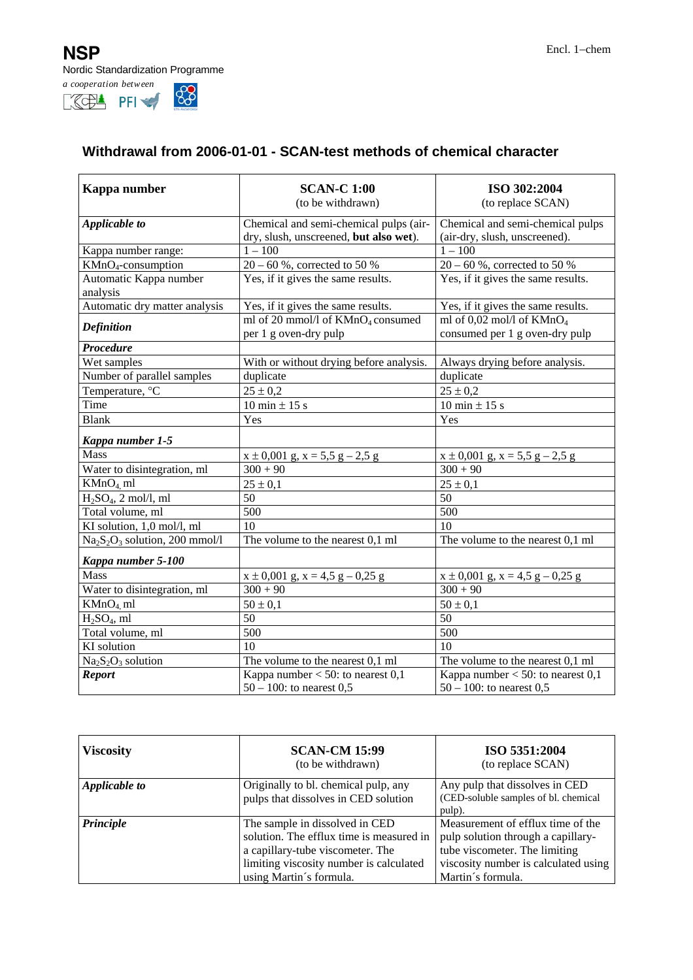**NSP** Encl. 1−chem Nordic Standardization Programme



## **Withdrawal from 2006-01-01 - SCAN-test methods of chemical character**

| Kappa number                                                       | <b>SCAN-C 1:00</b><br>(to be withdrawn)                                | ISO 302:2004<br>(to replace SCAN)                                  |
|--------------------------------------------------------------------|------------------------------------------------------------------------|--------------------------------------------------------------------|
| Applicable to                                                      | Chemical and semi-chemical pulps (air-                                 | Chemical and semi-chemical pulps                                   |
|                                                                    | dry, slush, unscreened, but also wet).                                 | (air-dry, slush, unscreened).                                      |
| Kappa number range:                                                | $1 - 100$                                                              | $1 - 100$                                                          |
| $KMnO4$ -consumption                                               | $20 - 60$ %, corrected to 50 %                                         | $20 - 60$ %, corrected to 50 %                                     |
| Automatic Kappa number<br>analysis                                 | $\overline{Yes}$ , if it gives the same results.                       | Yes, if it gives the same results.                                 |
| Automatic dry matter analysis                                      | Yes, if it gives the same results.                                     | Yes, if it gives the same results.                                 |
| <b>Definition</b>                                                  | ml of 20 mmol/l of KMnO <sub>4</sub> consumed<br>per 1 g oven-dry pulp | ml of $0.02$ mol/l of $KMnO4$<br>consumed per 1 g oven-dry pulp    |
| <b>Procedure</b>                                                   |                                                                        |                                                                    |
| Wet samples                                                        | With or without drying before analysis.                                | Always drying before analysis.                                     |
| Number of parallel samples                                         | duplicate                                                              | duplicate                                                          |
| Temperature, °C                                                    | $25 \pm 0.2$                                                           | $25 \pm 0.2$                                                       |
| Time                                                               | 10 min $\pm$ 15 s                                                      | 10 min $\pm$ 15 s                                                  |
| <b>Blank</b>                                                       | Yes                                                                    | Yes                                                                |
| Kappa number 1-5                                                   |                                                                        |                                                                    |
| <b>Mass</b>                                                        | $x \pm 0,001$ g, $x = 5,5$ g $-2,5$ g                                  | $x \pm 0,001$ g, $x = 5,5$ g $-2,5$ g                              |
| Water to disintegration, ml                                        | $300 + 90$                                                             | $300 + 90$                                                         |
| $KMnO4$ ml                                                         | $25 \pm 0.1$                                                           | $25 \pm 0.1$                                                       |
| $H2SO4$ , 2 mol/l, ml                                              | 50                                                                     | 50                                                                 |
| Total volume, ml                                                   | 500                                                                    | 500                                                                |
| KI solution, 1,0 mol/l, ml                                         | 10                                                                     | 10                                                                 |
| Na <sub>2</sub> S <sub>2</sub> O <sub>3</sub> solution, 200 mmol/l | The volume to the nearest 0,1 ml                                       | The volume to the nearest 0,1 ml                                   |
| Kappa number 5-100                                                 |                                                                        |                                                                    |
| <b>Mass</b>                                                        | $x \pm 0,001$ g, $x = 4.5$ g $-0.25$ g                                 | $x \pm 0,001$ g, $x = 4,5$ g $-0,25$ g                             |
| Water to disintegration, ml                                        | $300 + 90$                                                             | $300 + 90$                                                         |
| KMnO <sub>4</sub> ml                                               | $50 \pm 0.1$                                                           | $50 \pm 0.1$                                                       |
| $H2SO4$ , ml                                                       | 50                                                                     | 50                                                                 |
| Total volume, ml                                                   | 500                                                                    | $\overline{500}$                                                   |
| <b>KI</b> solution                                                 | 10                                                                     | $\overline{10}$                                                    |
| $Na2S2O3$ solution                                                 | The volume to the nearest 0,1 ml                                       | The volume to the nearest 0,1 ml                                   |
| <b>Report</b>                                                      | Kappa number $<$ 50: to nearest 0,1<br>$50 - 100$ : to nearest 0,5     | Kappa number $<$ 50: to nearest 0,1<br>$50 - 100$ : to nearest 0,5 |

| <b>Viscosity</b> | <b>SCAN-CM 15:99</b><br>(to be withdrawn)                                                                                                                                            | ISO 5351:2004<br>(to replace SCAN)                                                                                                                                    |
|------------------|--------------------------------------------------------------------------------------------------------------------------------------------------------------------------------------|-----------------------------------------------------------------------------------------------------------------------------------------------------------------------|
| Applicable to    | Originally to bl. chemical pulp, any<br>pulps that dissolves in CED solution                                                                                                         | Any pulp that dissolves in CED<br>(CED-soluble samples of bl. chemical<br>pulp).                                                                                      |
| Principle        | The sample in dissolved in CED<br>solution. The efflux time is measured in<br>a capillary-tube viscometer. The<br>limiting viscosity number is calculated<br>using Martin's formula. | Measurement of efflux time of the<br>pulp solution through a capillary-<br>tube viscometer. The limiting<br>viscosity number is calculated using<br>Martin's formula. |